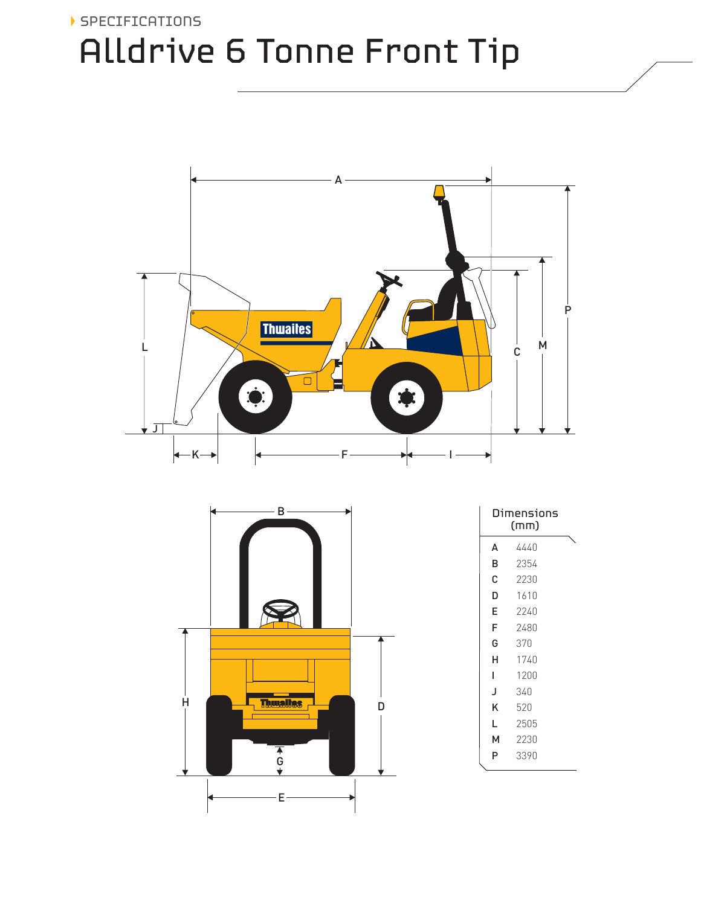## SPECIFICATIONS Alldrive 6 Tonne Front Tip



|   | В                    |   |
|---|----------------------|---|
|   |                      |   |
|   |                      |   |
|   |                      |   |
|   |                      |   |
|   |                      |   |
|   |                      |   |
|   |                      |   |
| Н | <b>Thuslies</b>      |   |
|   |                      | D |
|   |                      |   |
|   | $\frac{1}{\sqrt{2}}$ |   |
|   |                      |   |
|   | Е                    |   |

| Dimensions<br>(mm) |      |  |  |  |
|--------------------|------|--|--|--|
| A                  | 4440 |  |  |  |
| B                  | 2354 |  |  |  |
| С                  | 2230 |  |  |  |
| D                  | 1610 |  |  |  |
| E                  | 2240 |  |  |  |
| F                  | 2480 |  |  |  |
| G                  | 370  |  |  |  |
| н                  | 1740 |  |  |  |
| L                  | 1200 |  |  |  |
| J                  | 340  |  |  |  |
| κ                  | 520  |  |  |  |
| L                  | 2505 |  |  |  |
| м                  | 2230 |  |  |  |
| P                  | 3390 |  |  |  |